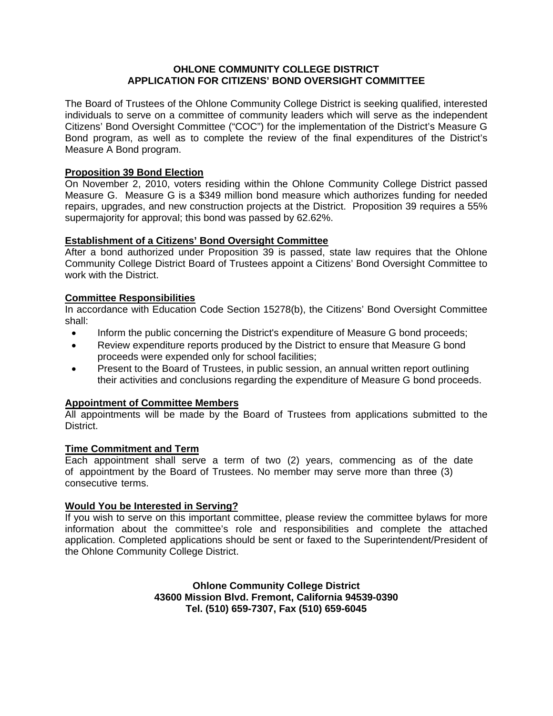## **OHLONE COMMUNITY COLLEGE DISTRICT APPLICATION FOR CITIZENS' BOND OVERSIGHT COMMITTEE**

The Board of Trustees of the Ohlone Community College District is seeking qualified, interested individuals to serve on a committee of community leaders which will serve as the independent Citizens' Bond Oversight Committee ("COC") for the implementation of the District's Measure G Bond program, as well as to complete the review of the final expenditures of the District's Measure A Bond program.

# **Proposition 39 Bond Election**

On November 2, 2010, voters residing within the Ohlone Community College District passed Measure G. Measure G is a \$349 million bond measure which authorizes funding for needed repairs, upgrades, and new construction projects at the District. Proposition 39 requires a 55% supermajority for approval; this bond was passed by 62.62%.

## **Establishment of a Citizens' Bond Oversight Committee**

After a bond authorized under Proposition 39 is passed, state law requires that the Ohlone Community College District Board of Trustees appoint a Citizens' Bond Oversight Committee to work with the District.

## **Committee Responsibilities**

In accordance with Education Code Section 15278(b), the Citizens' Bond Oversight Committee shall:

- Inform the public concerning the District's expenditure of Measure G bond proceeds;
- Review expenditure reports produced by the District to ensure that Measure G bond proceeds were expended only for school facilities;
- Present to the Board of Trustees, in public session, an annual written report outlining their activities and conclusions regarding the expenditure of Measure G bond proceeds.

# **Appointment of Committee Members**

All appointments will be made by the Board of Trustees from applications submitted to the District.

#### **Time Commitment and Term**

Each appointment shall serve a term of two (2) years, commencing as of the date of appointment by the Board of Trustees. No member may serve more than three (3) consecutive terms.

#### **Would You be Interested in Serving?**

If you wish to serve on this important committee, please review the committee bylaws for more information about the committee's role and responsibilities and complete the attached application. Completed applications should be sent or faxed to the Superintendent/President of the Ohlone Community College District.

> **Ohlone Community College District 43600 Mission Blvd. Fremont, California 94539-0390 Tel. (510) 659-7307, Fax (510) 659-6045**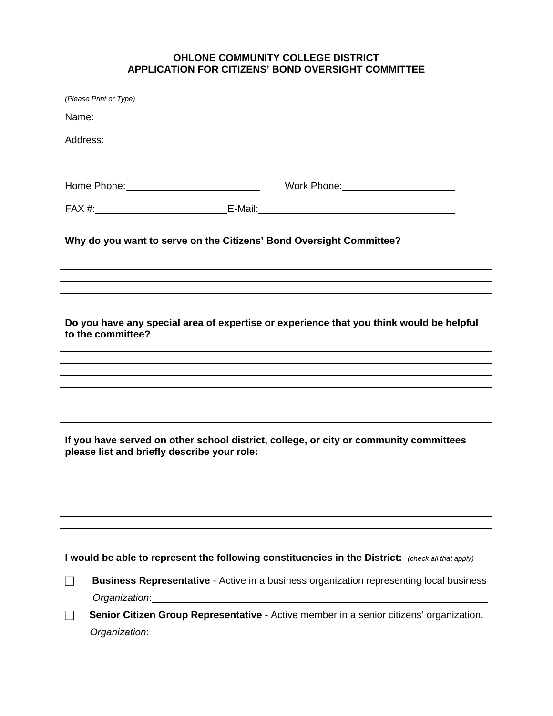# **OHLONE COMMUNITY COLLEGE DISTRICT APPLICATION FOR CITIZENS' BOND OVERSIGHT COMMITTEE**

|                                                                                                                                      | (Please Print or Type)                                                                                   |  |  |  |
|--------------------------------------------------------------------------------------------------------------------------------------|----------------------------------------------------------------------------------------------------------|--|--|--|
|                                                                                                                                      |                                                                                                          |  |  |  |
|                                                                                                                                      |                                                                                                          |  |  |  |
|                                                                                                                                      |                                                                                                          |  |  |  |
|                                                                                                                                      |                                                                                                          |  |  |  |
|                                                                                                                                      |                                                                                                          |  |  |  |
|                                                                                                                                      | Why do you want to serve on the Citizens' Bond Oversight Committee?                                      |  |  |  |
|                                                                                                                                      |                                                                                                          |  |  |  |
| Do you have any special area of expertise or experience that you think would be helpful<br>to the committee?                         |                                                                                                          |  |  |  |
|                                                                                                                                      |                                                                                                          |  |  |  |
|                                                                                                                                      |                                                                                                          |  |  |  |
|                                                                                                                                      |                                                                                                          |  |  |  |
|                                                                                                                                      |                                                                                                          |  |  |  |
| If you have served on other school district, college, or city or community committees<br>please list and briefly describe your role: |                                                                                                          |  |  |  |
|                                                                                                                                      |                                                                                                          |  |  |  |
|                                                                                                                                      |                                                                                                          |  |  |  |
|                                                                                                                                      |                                                                                                          |  |  |  |
|                                                                                                                                      |                                                                                                          |  |  |  |
|                                                                                                                                      | I would be able to represent the following constituencies in the District: (check all that apply)        |  |  |  |
|                                                                                                                                      | Business Representative - Active in a business organization representing local business<br>Organization: |  |  |  |
|                                                                                                                                      | Senior Citizen Group Representative - Active member in a senior citizens' organization.                  |  |  |  |
|                                                                                                                                      | Organization:                                                                                            |  |  |  |